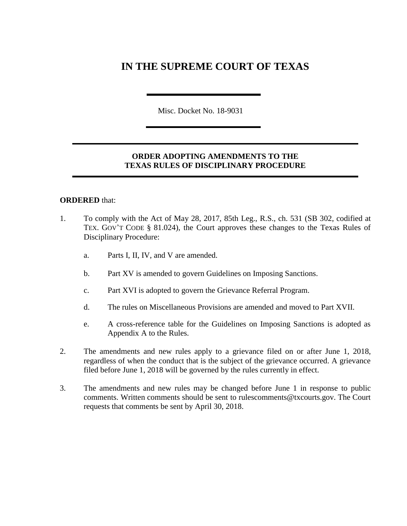# **IN THE SUPREME COURT OF TEXAS**

Misc. Docket No. 18-9031

### **ORDER ADOPTING AMENDMENTS TO THE TEXAS RULES OF DISCIPLINARY PROCEDURE**

#### **ORDERED** that:

- 1. To comply with the Act of May 28, 2017, 85th Leg., R.S., ch. 531 (SB 302, codified at TEX. GOV'T CODE § 81.024), the Court approves these changes to the Texas Rules of Disciplinary Procedure:
	- a. Parts I, II, IV, and V are amended.
	- b. Part XV is amended to govern Guidelines on Imposing Sanctions.
	- c. Part XVI is adopted to govern the Grievance Referral Program.
	- d. The rules on Miscellaneous Provisions are amended and moved to Part XVII.
	- e. A cross-reference table for the Guidelines on Imposing Sanctions is adopted as Appendix A to the Rules.
- 2. The amendments and new rules apply to a grievance filed on or after June 1, 2018, regardless of when the conduct that is the subject of the grievance occurred. A grievance filed before June 1, 2018 will be governed by the rules currently in effect.
- 3. The amendments and new rules may be changed before June 1 in response to public comments. Written comments should be sent to rulescomments@txcourts.gov. The Court requests that comments be sent by April 30, 2018.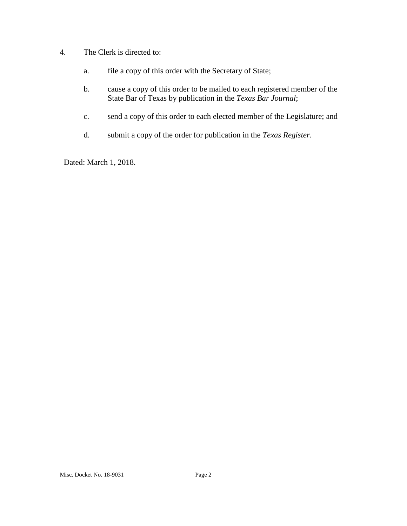- 4. The Clerk is directed to:
	- a. file a copy of this order with the Secretary of State;
	- b. cause a copy of this order to be mailed to each registered member of the State Bar of Texas by publication in the *Texas Bar Journal*;
	- c. send a copy of this order to each elected member of the Legislature; and
	- d. submit a copy of the order for publication in the *Texas Register*.

Dated: March 1, 2018.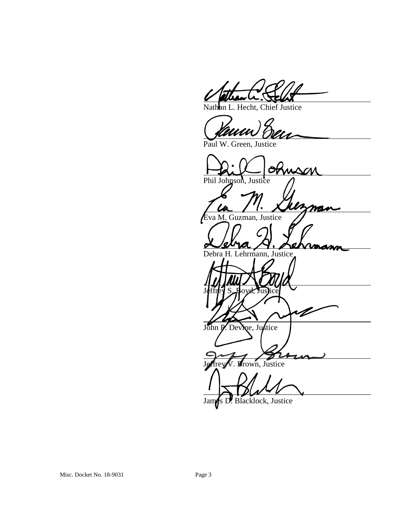an L. Hecht, Chief Justice

 $78$ 

Paul W. Green, Justice

 $P<sub>hil</sub>$  Johnson, Justice  $\rho$ Eva M. Guzman, Justice Debra H. Lehrmann, Justice Jeffrey S. Boyd, Justice V John P. Devine, Justice Brown, Justice  $\Delta$   $\Delta$   $\Delta$ 

James D. Blacklock, Justice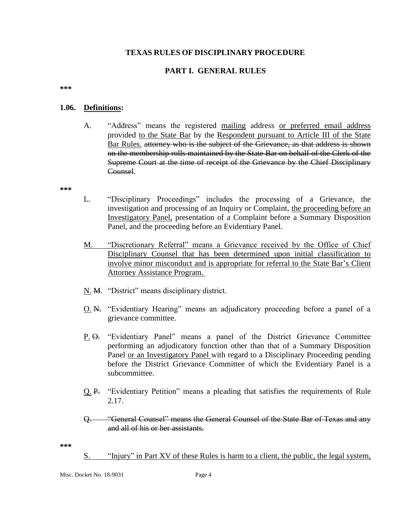#### **TEXAS RULES OF DISCIPLINARY PROCEDURE**

### **PART I. GENERAL RULES**

**\*\*\***

#### **1.06. Definitions:**

A. "Address" means the registered mailing address or preferred email address provided to the State Bar by the Respondent pursuant to Article III of the State Bar Rules. attorney who is the subject of the Grievance, as that address is shown on the membership rolls maintained by the State Bar on behalf of the Clerk of the Supreme Court at the time of receipt of the Grievance by the Chief Disciplinary Counsel.

**\*\*\***

- L. "Disciplinary Proceedings" includes the processing of a Grievance, the investigation and processing of an Inquiry or Complaint, the proceeding before an Investigatory Panel, presentation of a Complaint before a Summary Disposition Panel, and the proceeding before an Evidentiary Panel.
- M. "Discretionary Referral" means a Grievance received by the Office of Chief Disciplinary Counsel that has been determined upon initial classification to involve minor misconduct and is appropriate for referral to the State Bar's Client Attorney Assistance Program.
- N. M. "District" means disciplinary district.
- O. N. "Evidentiary Hearing" means an adjudicatory proceeding before a panel of a grievance committee.
- P. O. "Evidentiary Panel" means a panel of the District Grievance Committee performing an adjudicatory function other than that of a Summary Disposition Panel or an Investigatory Panel with regard to a Disciplinary Proceeding pending before the District Grievance Committee of which the Evidentiary Panel is a subcommittee.
- Q. P. "Evidentiary Petition" means a pleading that satisfies the requirements of Rule 2.17.
- Q. "General Counsel" means the General Counsel of the State Bar of Texas and any and all of his or her assistants.

**\*\*\***

S. "Injury" in Part XV of these Rules is harm to a client, the public, the legal system,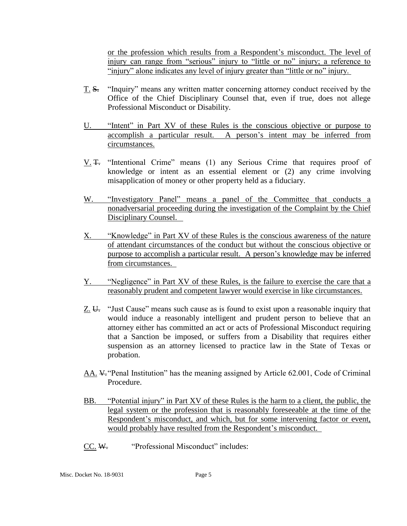or the profession which results from a Respondent's misconduct. The level of injury can range from "serious" injury to "little or no" injury; a reference to "injury" alone indicates any level of injury greater than "little or no" injury.

- T. S. "Inquiry" means any written matter concerning attorney conduct received by the Office of the Chief Disciplinary Counsel that, even if true, does not allege Professional Misconduct or Disability.
- U. "Intent" in Part XV of these Rules is the conscious objective or purpose to accomplish a particular result. A person's intent may be inferred from circumstances.
- V. T. "Intentional Crime" means (1) any Serious Crime that requires proof of knowledge or intent as an essential element or (2) any crime involving misapplication of money or other property held as a fiduciary.
- W. "Investigatory Panel" means a panel of the Committee that conducts a nonadversarial proceeding during the investigation of the Complaint by the Chief Disciplinary Counsel.
- X. "Knowledge" in Part XV of these Rules is the conscious awareness of the nature of attendant circumstances of the conduct but without the conscious objective or purpose to accomplish a particular result. A person's knowledge may be inferred from circumstances.
- Y. "Negligence" in Part XV of these Rules, is the failure to exercise the care that a reasonably prudent and competent lawyer would exercise in like circumstances.
- Z. U. "Just Cause" means such cause as is found to exist upon a reasonable inquiry that would induce a reasonably intelligent and prudent person to believe that an attorney either has committed an act or acts of Professional Misconduct requiring that a Sanction be imposed, or suffers from a Disability that requires either suspension as an attorney licensed to practice law in the State of Texas or probation.
- AA. V."Penal Institution" has the meaning assigned by Article 62.001, Code of Criminal Procedure.
- BB. "Potential injury" in Part XV of these Rules is the harm to a client, the public, the legal system or the profession that is reasonably foreseeable at the time of the Respondent's misconduct, and which, but for some intervening factor or event, would probably have resulted from the Respondent's misconduct.
- CC. W. "Professional Misconduct" includes: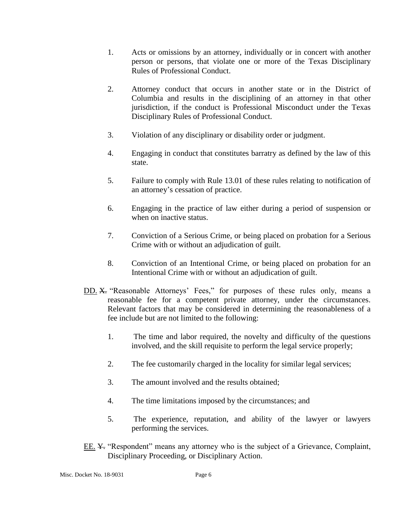- 1. Acts or omissions by an attorney, individually or in concert with another person or persons, that violate one or more of the Texas Disciplinary Rules of Professional Conduct.
- 2. Attorney conduct that occurs in another state or in the District of Columbia and results in the disciplining of an attorney in that other jurisdiction, if the conduct is Professional Misconduct under the Texas Disciplinary Rules of Professional Conduct.
- 3. Violation of any disciplinary or disability order or judgment.
- 4. Engaging in conduct that constitutes barratry as defined by the law of this state.
- 5. Failure to comply with Rule 13.01 of these rules relating to notification of an attorney's cessation of practice.
- 6. Engaging in the practice of law either during a period of suspension or when on inactive status.
- 7. Conviction of a Serious Crime, or being placed on probation for a Serious Crime with or without an adjudication of guilt.
- 8. Conviction of an Intentional Crime, or being placed on probation for an Intentional Crime with or without an adjudication of guilt.
- DD. X. "Reasonable Attorneys' Fees," for purposes of these rules only, means a reasonable fee for a competent private attorney, under the circumstances. Relevant factors that may be considered in determining the reasonableness of a fee include but are not limited to the following:
	- 1. The time and labor required, the novelty and difficulty of the questions involved, and the skill requisite to perform the legal service properly;
	- 2. The fee customarily charged in the locality for similar legal services;
	- 3. The amount involved and the results obtained;
	- 4. The time limitations imposed by the circumstances; and
	- 5. The experience, reputation, and ability of the lawyer or lawyers performing the services.
- EE. ¥ "Respondent" means any attorney who is the subject of a Grievance, Complaint, Disciplinary Proceeding, or Disciplinary Action.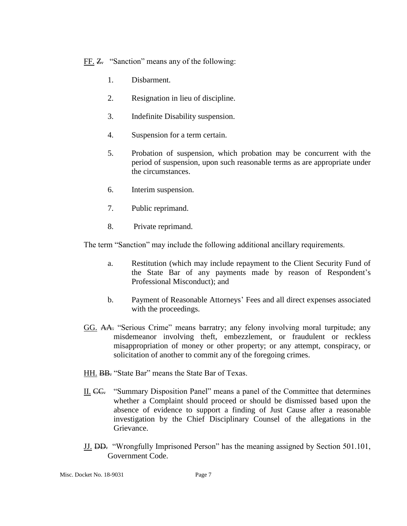FF. Z. "Sanction" means any of the following:

- 1. Disbarment.
- 2. Resignation in lieu of discipline.
- 3. Indefinite Disability suspension.
- 4. Suspension for a term certain.
- 5. Probation of suspension, which probation may be concurrent with the period of suspension, upon such reasonable terms as are appropriate under the circumstances.
- 6. Interim suspension.
- 7. Public reprimand.
- 8. Private reprimand.

The term "Sanction" may include the following additional ancillary requirements.

- a. Restitution (which may include repayment to the Client Security Fund of the State Bar of any payments made by reason of Respondent's Professional Misconduct); and
- b. Payment of Reasonable Attorneys' Fees and all direct expenses associated with the proceedings.
- GG. AA. "Serious Crime" means barratry; any felony involving moral turpitude; any misdemeanor involving theft, embezzlement, or fraudulent or reckless misappropriation of money or other property; or any attempt, conspiracy, or solicitation of another to commit any of the foregoing crimes.
- HH. **BB.** "State Bar" means the State Bar of Texas.
- II. CC. "Summary Disposition Panel" means a panel of the Committee that determines whether a Complaint should proceed or should be dismissed based upon the absence of evidence to support a finding of Just Cause after a reasonable investigation by the Chief Disciplinary Counsel of the allegations in the Grievance.
- JJ. DD. "Wrongfully Imprisoned Person" has the meaning assigned by Section 501.101, Government Code.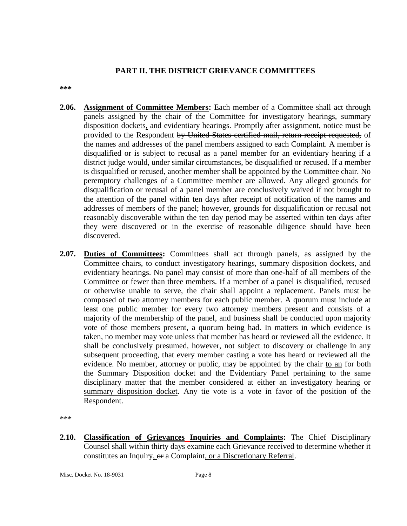#### **PART II. THE DISTRICT GRIEVANCE COMMITTEES**

**\*\*\***

- **2.06. Assignment of Committee Members:** Each member of a Committee shall act through panels assigned by the chair of the Committee for investigatory hearings, summary disposition dockets, and evidentiary hearings. Promptly after assignment, notice must be provided to the Respondent by United States certified mail, return receipt requested, of the names and addresses of the panel members assigned to each Complaint. A member is disqualified or is subject to recusal as a panel member for an evidentiary hearing if a district judge would, under similar circumstances, be disqualified or recused. If a member is disqualified or recused, another member shall be appointed by the Committee chair. No peremptory challenges of a Committee member are allowed. Any alleged grounds for disqualification or recusal of a panel member are conclusively waived if not brought to the attention of the panel within ten days after receipt of notification of the names and addresses of members of the panel; however, grounds for disqualification or recusal not reasonably discoverable within the ten day period may be asserted within ten days after they were discovered or in the exercise of reasonable diligence should have been discovered.
- **2.07. Duties of Committees:** Committees shall act through panels, as assigned by the Committee chairs, to conduct investigatory hearings, summary disposition dockets, and evidentiary hearings. No panel may consist of more than one-half of all members of the Committee or fewer than three members. If a member of a panel is disqualified, recused or otherwise unable to serve, the chair shall appoint a replacement. Panels must be composed of two attorney members for each public member. A quorum must include at least one public member for every two attorney members present and consists of a majority of the membership of the panel, and business shall be conducted upon majority vote of those members present, a quorum being had. In matters in which evidence is taken, no member may vote unless that member has heard or reviewed all the evidence. It shall be conclusively presumed, however, not subject to discovery or challenge in any subsequent proceeding, that every member casting a vote has heard or reviewed all the evidence. No member, attorney or public, may be appointed by the chair to an for both the Summary Disposition docket and the Evidentiary Panel pertaining to the same disciplinary matter that the member considered at either an investigatory hearing or summary disposition docket. Any tie vote is a vote in favor of the position of the Respondent.

\*\*\*

**2.10. Classification of Grievances Inquiries and Complaints:** The Chief Disciplinary Counsel shall within thirty days examine each Grievance received to determine whether it constitutes an Inquiry, or a Complaint, or a Discretionary Referral.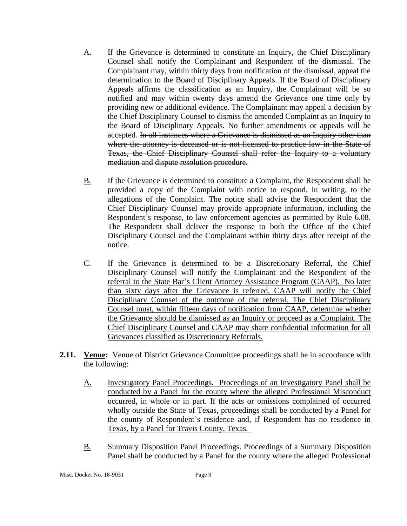- A. If the Grievance is determined to constitute an Inquiry, the Chief Disciplinary Counsel shall notify the Complainant and Respondent of the dismissal. The Complainant may, within thirty days from notification of the dismissal, appeal the determination to the Board of Disciplinary Appeals. If the Board of Disciplinary Appeals affirms the classification as an Inquiry, the Complainant will be so notified and may within twenty days amend the Grievance one time only by providing new or additional evidence. The Complainant may appeal a decision by the Chief Disciplinary Counsel to dismiss the amended Complaint as an Inquiry to the Board of Disciplinary Appeals. No further amendments or appeals will be accepted. In all instances where a Grievance is dismissed as an Inquiry other than where the attorney is deceased or is not licensed to practice law in the State of Texas, the Chief Disciplinary Counsel shall refer the Inquiry to a voluntary mediation and dispute resolution procedure.
- B. If the Grievance is determined to constitute a Complaint, the Respondent shall be provided a copy of the Complaint with notice to respond, in writing, to the allegations of the Complaint. The notice shall advise the Respondent that the Chief Disciplinary Counsel may provide appropriate information, including the Respondent's response, to law enforcement agencies as permitted by Rule 6.08. The Respondent shall deliver the response to both the Office of the Chief Disciplinary Counsel and the Complainant within thirty days after receipt of the notice.
- C. If the Grievance is determined to be a Discretionary Referral, the Chief Disciplinary Counsel will notify the Complainant and the Respondent of the referral to the State Bar's Client Attorney Assistance Program (CAAP). No later than sixty days after the Grievance is referred, CAAP will notify the Chief Disciplinary Counsel of the outcome of the referral. The Chief Disciplinary Counsel must, within fifteen days of notification from CAAP, determine whether the Grievance should be dismissed as an Inquiry or proceed as a Complaint. The Chief Disciplinary Counsel and CAAP may share confidential information for all Grievances classified as Discretionary Referrals.
- **2.11. Venue:** Venue of District Grievance Committee proceedings shall be in accordance with the following:
	- A. Investigatory Panel Proceedings. Proceedings of an Investigatory Panel shall be conducted by a Panel for the county where the alleged Professional Misconduct occurred, in whole or in part. If the acts or omissions complained of occurred wholly outside the State of Texas, proceedings shall be conducted by a Panel for the county of Respondent's residence and, if Respondent has no residence in Texas, by a Panel for Travis County, Texas.
	- B. Summary Disposition Panel Proceedings. Proceedings of a Summary Disposition Panel shall be conducted by a Panel for the county where the alleged Professional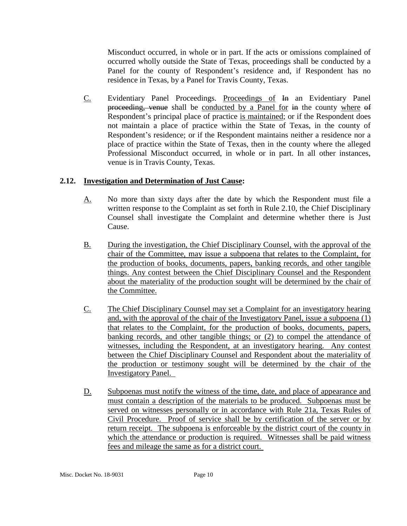Misconduct occurred, in whole or in part. If the acts or omissions complained of occurred wholly outside the State of Texas, proceedings shall be conducted by a Panel for the county of Respondent's residence and, if Respondent has no residence in Texas, by a Panel for Travis County, Texas.

C. Evidentiary Panel Proceedings. Proceedings of In an Evidentiary Panel proceeding, venue shall be conducted by a Panel for in the county where of Respondent's principal place of practice is maintained; or if the Respondent does not maintain a place of practice within the State of Texas, in the county of Respondent's residence; or if the Respondent maintains neither a residence nor a place of practice within the State of Texas, then in the county where the alleged Professional Misconduct occurred, in whole or in part. In all other instances, venue is in Travis County, Texas.

# **2.12. Investigation and Determination of Just Cause:**

- A. No more than sixty days after the date by which the Respondent must file a written response to the Complaint as set forth in Rule 2.10, the Chief Disciplinary Counsel shall investigate the Complaint and determine whether there is Just Cause.
- B. During the investigation, the Chief Disciplinary Counsel, with the approval of the chair of the Committee, may issue a subpoena that relates to the Complaint, for the production of books, documents, papers, banking records, and other tangible things. Any contest between the Chief Disciplinary Counsel and the Respondent about the materiality of the production sought will be determined by the chair of the Committee.
- C. The Chief Disciplinary Counsel may set a Complaint for an investigatory hearing and, with the approval of the chair of the Investigatory Panel, issue a subpoena (1) that relates to the Complaint, for the production of books, documents, papers, banking records, and other tangible things; or (2) to compel the attendance of witnesses, including the Respondent, at an investigatory hearing. Any contest between the Chief Disciplinary Counsel and Respondent about the materiality of the production or testimony sought will be determined by the chair of the Investigatory Panel.
- D. Subpoenas must notify the witness of the time, date, and place of appearance and must contain a description of the materials to be produced. Subpoenas must be served on witnesses personally or in accordance with Rule 21a, Texas Rules of Civil Procedure. Proof of service shall be by certification of the server or by return receipt. The subpoena is enforceable by the district court of the county in which the attendance or production is required. Witnesses shall be paid witness fees and mileage the same as for a district court.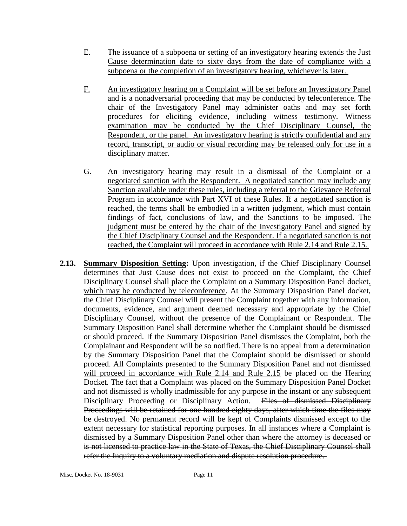- E. The issuance of a subpoena or setting of an investigatory hearing extends the Just Cause determination date to sixty days from the date of compliance with a subpoena or the completion of an investigatory hearing, whichever is later.
- F. An investigatory hearing on a Complaint will be set before an Investigatory Panel and is a nonadversarial proceeding that may be conducted by teleconference. The chair of the Investigatory Panel may administer oaths and may set forth procedures for eliciting evidence, including witness testimony. Witness examination may be conducted by the Chief Disciplinary Counsel, the Respondent, or the panel. An investigatory hearing is strictly confidential and any record, transcript, or audio or visual recording may be released only for use in a disciplinary matter.
- G. An investigatory hearing may result in a dismissal of the Complaint or a negotiated sanction with the Respondent. A negotiated sanction may include any Sanction available under these rules, including a referral to the Grievance Referral Program in accordance with Part XVI of these Rules. If a negotiated sanction is reached, the terms shall be embodied in a written judgment, which must contain findings of fact, conclusions of law, and the Sanctions to be imposed. The judgment must be entered by the chair of the Investigatory Panel and signed by the Chief Disciplinary Counsel and the Respondent. If a negotiated sanction is not reached, the Complaint will proceed in accordance with Rule 2.14 and Rule 2.15.
- **2.13. Summary Disposition Setting:** Upon investigation, if the Chief Disciplinary Counsel determines that Just Cause does not exist to proceed on the Complaint, the Chief Disciplinary Counsel shall place the Complaint on a Summary Disposition Panel docket, which may be conducted by teleconference. At the Summary Disposition Panel docket, the Chief Disciplinary Counsel will present the Complaint together with any information, documents, evidence, and argument deemed necessary and appropriate by the Chief Disciplinary Counsel, without the presence of the Complainant or Respondent. The Summary Disposition Panel shall determine whether the Complaint should be dismissed or should proceed. If the Summary Disposition Panel dismisses the Complaint, both the Complainant and Respondent will be so notified. There is no appeal from a determination by the Summary Disposition Panel that the Complaint should be dismissed or should proceed. All Complaints presented to the Summary Disposition Panel and not dismissed will proceed in accordance with Rule 2.14 and Rule 2.15 be placed on the Hearing Docket. The fact that a Complaint was placed on the Summary Disposition Panel Docket and not dismissed is wholly inadmissible for any purpose in the instant or any subsequent Disciplinary Proceeding or Disciplinary Action. Files of dismissed Disciplinary Proceedings will be retained for one hundred eighty days, after which time the files may be destroyed. No permanent record will be kept of Complaints dismissed except to the extent necessary for statistical reporting purposes. In all instances where a Complaint is dismissed by a Summary Disposition Panel other than where the attorney is deceased or is not licensed to practice law in the State of Texas, the Chief Disciplinary Counsel shall refer the Inquiry to a voluntary mediation and dispute resolution procedure.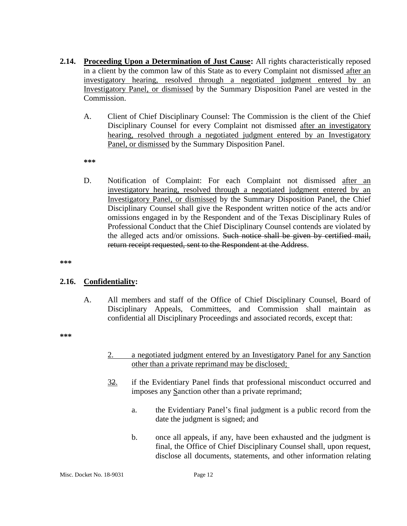- **2.14. Proceeding Upon a Determination of Just Cause:** All rights characteristically reposed in a client by the common law of this State as to every Complaint not dismissed after an investigatory hearing, resolved through a negotiated judgment entered by an Investigatory Panel, or dismissed by the Summary Disposition Panel are vested in the Commission.
	- A. Client of Chief Disciplinary Counsel: The Commission is the client of the Chief Disciplinary Counsel for every Complaint not dismissed after an investigatory hearing, resolved through a negotiated judgment entered by an Investigatory Panel, or dismissed by the Summary Disposition Panel.

**\*\*\***

D. Notification of Complaint: For each Complaint not dismissed after an investigatory hearing, resolved through a negotiated judgment entered by an Investigatory Panel, or dismissed by the Summary Disposition Panel, the Chief Disciplinary Counsel shall give the Respondent written notice of the acts and/or omissions engaged in by the Respondent and of the Texas Disciplinary Rules of Professional Conduct that the Chief Disciplinary Counsel contends are violated by the alleged acts and/or omissions. Such notice shall be given by certified mail, return receipt requested, sent to the Respondent at the Address.

**\*\*\***

#### **2.16. Confidentiality:**

A. All members and staff of the Office of Chief Disciplinary Counsel, Board of Disciplinary Appeals, Committees, and Commission shall maintain as confidential all Disciplinary Proceedings and associated records, except that:

**\*\*\***

- 2. a negotiated judgment entered by an Investigatory Panel for any Sanction other than a private reprimand may be disclosed;
- 32. if the Evidentiary Panel finds that professional misconduct occurred and imposes any Sanction other than a private reprimand;
	- a. the Evidentiary Panel's final judgment is a public record from the date the judgment is signed; and
	- b. once all appeals, if any, have been exhausted and the judgment is final, the Office of Chief Disciplinary Counsel shall, upon request, disclose all documents, statements, and other information relating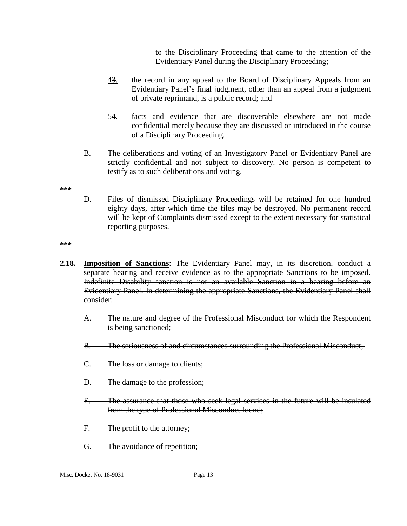to the Disciplinary Proceeding that came to the attention of the Evidentiary Panel during the Disciplinary Proceeding;

- 43. the record in any appeal to the Board of Disciplinary Appeals from an Evidentiary Panel's final judgment, other than an appeal from a judgment of private reprimand, is a public record; and
- 54. facts and evidence that are discoverable elsewhere are not made confidential merely because they are discussed or introduced in the course of a Disciplinary Proceeding.
- B. The deliberations and voting of an <u>Investigatory Panel or</u> Evidentiary Panel are strictly confidential and not subject to discovery. No person is competent to testify as to such deliberations and voting.

**\*\*\***

D. Files of dismissed Disciplinary Proceedings will be retained for one hundred eighty days, after which time the files may be destroyed. No permanent record will be kept of Complaints dismissed except to the extent necessary for statistical reporting purposes.

**\*\*\***

- **2.18. Imposition of Sanctions**: The Evidentiary Panel may, in its discretion, conduct a separate hearing and receive evidence as to the appropriate Sanctions to be imposed. Indefinite Disability sanction is not an available Sanction in a hearing before an Evidentiary Panel. In determining the appropriate Sanctions, the Evidentiary Panel shall consider:
	- A. The nature and degree of the Professional Misconduct for which the Respondent is being sanctioned;
	- B. The seriousness of and circumstances surrounding the Professional Misconduct;
	- C. The loss or damage to clients;
	- D. The damage to the profession;
	- E. The assurance that those who seek legal services in the future will be insulated from the type of Professional Misconduct found;
	- F. The profit to the attorney;
	- G. The avoidance of repetition;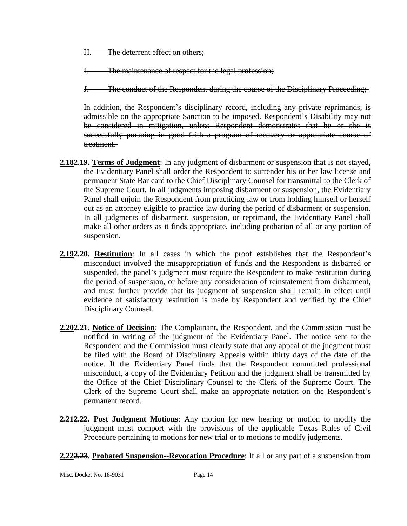H. The deterrent effect on others;

I. The maintenance of respect for the legal profession;

J. The conduct of the Respondent during the course of the Disciplinary Proceeding;

In addition, the Respondent's disciplinary record, including any private reprimands, is admissible on the appropriate Sanction to be imposed. Respondent's Disability may not be considered in mitigation, unless Respondent demonstrates that he or she is successfully pursuing in good faith a program of recovery or appropriate course of treatment.

- **2.182.19. Terms of Judgment**: In any judgment of disbarment or suspension that is not stayed, the Evidentiary Panel shall order the Respondent to surrender his or her law license and permanent State Bar card to the Chief Disciplinary Counsel for transmittal to the Clerk of the Supreme Court. In all judgments imposing disbarment or suspension, the Evidentiary Panel shall enjoin the Respondent from practicing law or from holding himself or herself out as an attorney eligible to practice law during the period of disbarment or suspension. In all judgments of disbarment, suspension, or reprimand, the Evidentiary Panel shall make all other orders as it finds appropriate, including probation of all or any portion of suspension.
- **2.192.20. Restitution**: In all cases in which the proof establishes that the Respondent's misconduct involved the misappropriation of funds and the Respondent is disbarred or suspended, the panel's judgment must require the Respondent to make restitution during the period of suspension, or before any consideration of reinstatement from disbarment, and must further provide that its judgment of suspension shall remain in effect until evidence of satisfactory restitution is made by Respondent and verified by the Chief Disciplinary Counsel.
- **2.202.21. Notice of Decision**: The Complainant, the Respondent, and the Commission must be notified in writing of the judgment of the Evidentiary Panel. The notice sent to the Respondent and the Commission must clearly state that any appeal of the judgment must be filed with the Board of Disciplinary Appeals within thirty days of the date of the notice. If the Evidentiary Panel finds that the Respondent committed professional misconduct, a copy of the Evidentiary Petition and the judgment shall be transmitted by the Office of the Chief Disciplinary Counsel to the Clerk of the Supreme Court. The Clerk of the Supreme Court shall make an appropriate notation on the Respondent's permanent record.
- **2.212.22. Post Judgment Motions**: Any motion for new hearing or motion to modify the judgment must comport with the provisions of the applicable Texas Rules of Civil Procedure pertaining to motions for new trial or to motions to modify judgments.

**2.222.23. Probated Suspension--Revocation Procedure**: If all or any part of a suspension from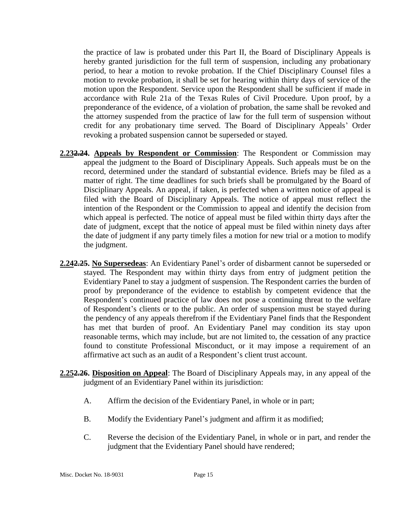the practice of law is probated under this Part II, the Board of Disciplinary Appeals is hereby granted jurisdiction for the full term of suspension, including any probationary period, to hear a motion to revoke probation. If the Chief Disciplinary Counsel files a motion to revoke probation, it shall be set for hearing within thirty days of service of the motion upon the Respondent. Service upon the Respondent shall be sufficient if made in accordance with Rule 21a of the Texas Rules of Civil Procedure. Upon proof, by a preponderance of the evidence, of a violation of probation, the same shall be revoked and the attorney suspended from the practice of law for the full term of suspension without credit for any probationary time served. The Board of Disciplinary Appeals' Order revoking a probated suspension cannot be superseded or stayed.

- **2.232.24. Appeals by Respondent or Commission**: The Respondent or Commission may appeal the judgment to the Board of Disciplinary Appeals. Such appeals must be on the record, determined under the standard of substantial evidence. Briefs may be filed as a matter of right. The time deadlines for such briefs shall be promulgated by the Board of Disciplinary Appeals. An appeal, if taken, is perfected when a written notice of appeal is filed with the Board of Disciplinary Appeals. The notice of appeal must reflect the intention of the Respondent or the Commission to appeal and identify the decision from which appeal is perfected. The notice of appeal must be filed within thirty days after the date of judgment, except that the notice of appeal must be filed within ninety days after the date of judgment if any party timely files a motion for new trial or a motion to modify the judgment.
- **2.242.25. No Supersedeas**: An Evidentiary Panel's order of disbarment cannot be superseded or stayed. The Respondent may within thirty days from entry of judgment petition the Evidentiary Panel to stay a judgment of suspension. The Respondent carries the burden of proof by preponderance of the evidence to establish by competent evidence that the Respondent's continued practice of law does not pose a continuing threat to the welfare of Respondent's clients or to the public. An order of suspension must be stayed during the pendency of any appeals therefrom if the Evidentiary Panel finds that the Respondent has met that burden of proof. An Evidentiary Panel may condition its stay upon reasonable terms, which may include, but are not limited to, the cessation of any practice found to constitute Professional Misconduct, or it may impose a requirement of an affirmative act such as an audit of a Respondent's client trust account.
- **2.252.26. Disposition on Appeal**: The Board of Disciplinary Appeals may, in any appeal of the judgment of an Evidentiary Panel within its jurisdiction:
	- A. Affirm the decision of the Evidentiary Panel, in whole or in part;
	- B. Modify the Evidentiary Panel's judgment and affirm it as modified;
	- C. Reverse the decision of the Evidentiary Panel, in whole or in part, and render the judgment that the Evidentiary Panel should have rendered;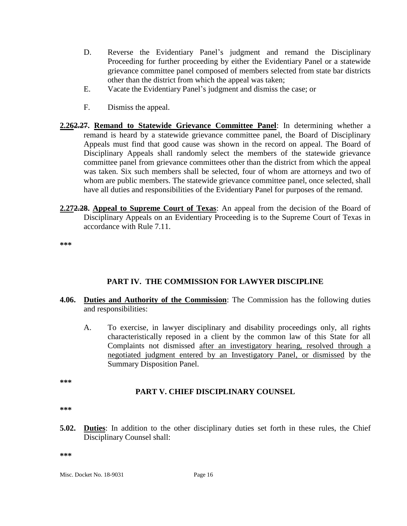- D. Reverse the Evidentiary Panel's judgment and remand the Disciplinary Proceeding for further proceeding by either the Evidentiary Panel or a statewide grievance committee panel composed of members selected from state bar districts other than the district from which the appeal was taken;
- E. Vacate the Evidentiary Panel's judgment and dismiss the case; or
- F. Dismiss the appeal.
- **2.262.27. Remand to Statewide Grievance Committee Panel**: In determining whether a remand is heard by a statewide grievance committee panel, the Board of Disciplinary Appeals must find that good cause was shown in the record on appeal. The Board of Disciplinary Appeals shall randomly select the members of the statewide grievance committee panel from grievance committees other than the district from which the appeal was taken. Six such members shall be selected, four of whom are attorneys and two of whom are public members. The statewide grievance committee panel, once selected, shall have all duties and responsibilities of the Evidentiary Panel for purposes of the remand.
- **2.272.28. Appeal to Supreme Court of Texas**: An appeal from the decision of the Board of Disciplinary Appeals on an Evidentiary Proceeding is to the Supreme Court of Texas in accordance with Rule 7.11.

**\*\*\***

## **PART IV. THE COMMISSION FOR LAWYER DISCIPLINE**

- **4.06. Duties and Authority of the Commission**: The Commission has the following duties and responsibilities:
	- A. To exercise, in lawyer disciplinary and disability proceedings only, all rights characteristically reposed in a client by the common law of this State for all Complaints not dismissed after an investigatory hearing, resolved through a negotiated judgment entered by an Investigatory Panel, or dismissed by the Summary Disposition Panel.

**\*\*\***

#### **PART V. CHIEF DISCIPLINARY COUNSEL**

**\*\*\***

**5.02. Duties**: In addition to the other disciplinary duties set forth in these rules, the Chief Disciplinary Counsel shall:

**\*\*\***

Misc. Docket No. 18-9031 Page 16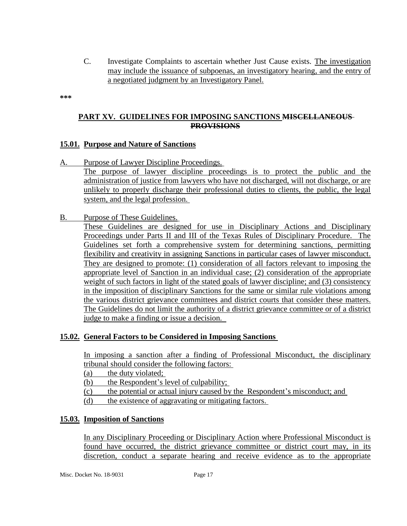C. Investigate Complaints to ascertain whether Just Cause exists. The investigation may include the issuance of subpoenas, an investigatory hearing, and the entry of a negotiated judgment by an Investigatory Panel.

**\*\*\***

### **PART XV. GUIDELINES FOR IMPOSING SANCTIONS MISCELLANEOUS PROVISIONS**

#### **15.01. Purpose and Nature of Sanctions**

- A. Purpose of Lawyer Discipline Proceedings. The purpose of lawyer discipline proceedings is to protect the public and the administration of justice from lawyers who have not discharged, will not discharge, or are unlikely to properly discharge their professional duties to clients, the public, the legal system, and the legal profession.
- B. Purpose of These Guidelines.

These Guidelines are designed for use in Disciplinary Actions and Disciplinary Proceedings under Parts II and III of the Texas Rules of Disciplinary Procedure. The Guidelines set forth a comprehensive system for determining sanctions, permitting flexibility and creativity in assigning Sanctions in particular cases of lawyer misconduct. They are designed to promote: (1) consideration of all factors relevant to imposing the appropriate level of Sanction in an individual case; (2) consideration of the appropriate weight of such factors in light of the stated goals of lawyer discipline; and (3) consistency in the imposition of disciplinary Sanctions for the same or similar rule violations among the various district grievance committees and district courts that consider these matters. The Guidelines do not limit the authority of a district grievance committee or of a district judge to make a finding or issue a decision.

## **15.02. General Factors to be Considered in Imposing Sanctions**

In imposing a sanction after a finding of Professional Misconduct, the disciplinary tribunal should consider the following factors:

- (a) the duty violated;
- (b) the Respondent's level of culpability;
- (c) the potential or actual injury caused by the Respondent's misconduct; and
- (d) the existence of aggravating or mitigating factors.

#### **15.03. Imposition of Sanctions**

In any Disciplinary Proceeding or Disciplinary Action where Professional Misconduct is found have occurred, the district grievance committee or district court may, in its discretion, conduct a separate hearing and receive evidence as to the appropriate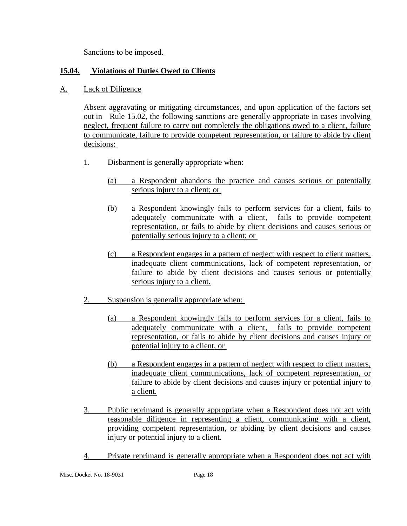Sanctions to be imposed.

# **15.04. Violations of Duties Owed to Clients**

A. Lack of Diligence

Absent aggravating or mitigating circumstances, and upon application of the factors set out in Rule 15.02, the following sanctions are generally appropriate in cases involving neglect, frequent failure to carry out completely the obligations owed to a client, failure to communicate, failure to provide competent representation, or failure to abide by client decisions:

- 1. Disbarment is generally appropriate when:
	- (a) a Respondent abandons the practice and causes serious or potentially serious injury to a client; or
	- (b) a Respondent knowingly fails to perform services for a client, fails to adequately communicate with a client, fails to provide competent representation, or fails to abide by client decisions and causes serious or potentially serious injury to a client; or
	- (c) a Respondent engages in a pattern of neglect with respect to client matters, inadequate client communications, lack of competent representation, or failure to abide by client decisions and causes serious or potentially serious injury to a client.
- 2. Suspension is generally appropriate when:
	- (a) a Respondent knowingly fails to perform services for a client, fails to adequately communicate with a client, fails to provide competent representation, or fails to abide by client decisions and causes injury or potential injury to a client, or
	- (b) a Respondent engages in a pattern of neglect with respect to client matters, inadequate client communications, lack of competent representation, or failure to abide by client decisions and causes injury or potential injury to a client.
- 3. Public reprimand is generally appropriate when a Respondent does not act with reasonable diligence in representing a client, communicating with a client, providing competent representation, or abiding by client decisions and causes injury or potential injury to a client.
- 4. Private reprimand is generally appropriate when a Respondent does not act with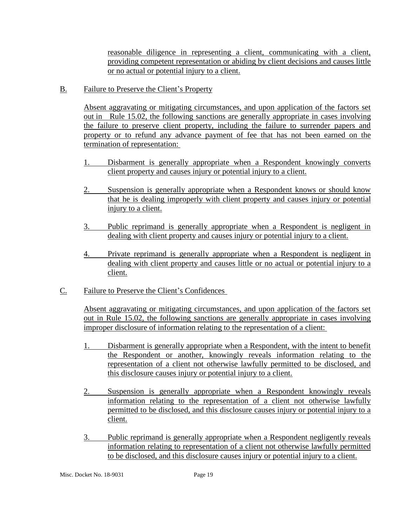reasonable diligence in representing a client, communicating with a client, providing competent representation or abiding by client decisions and causes little or no actual or potential injury to a client.

B. Failure to Preserve the Client's Property

Absent aggravating or mitigating circumstances, and upon application of the factors set out in Rule 15.02, the following sanctions are generally appropriate in cases involving the failure to preserve client property, including the failure to surrender papers and property or to refund any advance payment of fee that has not been earned on the termination of representation:

- 1. Disbarment is generally appropriate when a Respondent knowingly converts client property and causes injury or potential injury to a client.
- 2. Suspension is generally appropriate when a Respondent knows or should know that he is dealing improperly with client property and causes injury or potential injury to a client.
- 3. Public reprimand is generally appropriate when a Respondent is negligent in dealing with client property and causes injury or potential injury to a client.
- 4. Private reprimand is generally appropriate when a Respondent is negligent in dealing with client property and causes little or no actual or potential injury to a client.
- C. Failure to Preserve the Client's Confidences

Absent aggravating or mitigating circumstances, and upon application of the factors set out in Rule 15.02, the following sanctions are generally appropriate in cases involving improper disclosure of information relating to the representation of a client:

- 1. Disbarment is generally appropriate when a Respondent, with the intent to benefit the Respondent or another, knowingly reveals information relating to the representation of a client not otherwise lawfully permitted to be disclosed, and this disclosure causes injury or potential injury to a client.
- 2. Suspension is generally appropriate when a Respondent knowingly reveals information relating to the representation of a client not otherwise lawfully permitted to be disclosed, and this disclosure causes injury or potential injury to a client.
- 3. Public reprimand is generally appropriate when a Respondent negligently reveals information relating to representation of a client not otherwise lawfully permitted to be disclosed, and this disclosure causes injury or potential injury to a client.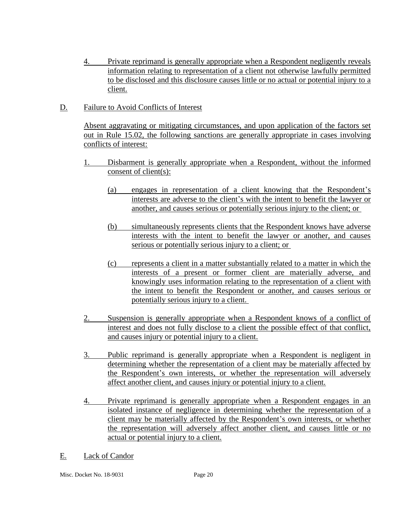- 4. Private reprimand is generally appropriate when a Respondent negligently reveals information relating to representation of a client not otherwise lawfully permitted to be disclosed and this disclosure causes little or no actual or potential injury to a client.
- D. Failure to Avoid Conflicts of Interest

Absent aggravating or mitigating circumstances, and upon application of the factors set out in Rule 15.02, the following sanctions are generally appropriate in cases involving conflicts of interest:

- 1. Disbarment is generally appropriate when a Respondent, without the informed consent of client(s):
	- (a) engages in representation of a client knowing that the Respondent's interests are adverse to the client's with the intent to benefit the lawyer or another, and causes serious or potentially serious injury to the client; or
	- (b) simultaneously represents clients that the Respondent knows have adverse interests with the intent to benefit the lawyer or another, and causes serious or potentially serious injury to a client; or
	- (c) represents a client in a matter substantially related to a matter in which the interests of a present or former client are materially adverse, and knowingly uses information relating to the representation of a client with the intent to benefit the Respondent or another, and causes serious or potentially serious injury to a client.
- 2. Suspension is generally appropriate when a Respondent knows of a conflict of interest and does not fully disclose to a client the possible effect of that conflict, and causes injury or potential injury to a client.
- 3. Public reprimand is generally appropriate when a Respondent is negligent in determining whether the representation of a client may be materially affected by the Respondent's own interests, or whether the representation will adversely affect another client, and causes injury or potential injury to a client.
- 4. Private reprimand is generally appropriate when a Respondent engages in an isolated instance of negligence in determining whether the representation of a client may be materially affected by the Respondent's own interests, or whether the representation will adversely affect another client, and causes little or no actual or potential injury to a client.
- E. Lack of Candor

Misc. Docket No. 18-9031 Page 20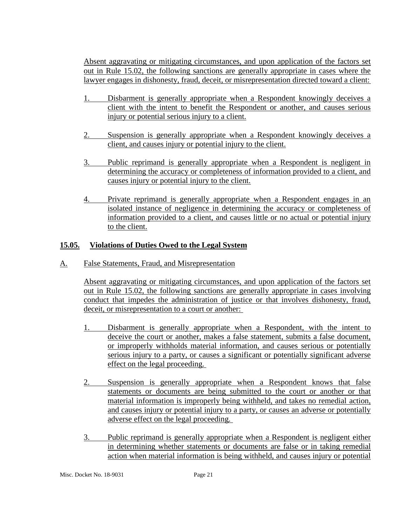Absent aggravating or mitigating circumstances, and upon application of the factors set out in Rule 15.02, the following sanctions are generally appropriate in cases where the lawyer engages in dishonesty, fraud, deceit, or misrepresentation directed toward a client:

- 1. Disbarment is generally appropriate when a Respondent knowingly deceives a client with the intent to benefit the Respondent or another, and causes serious injury or potential serious injury to a client.
- 2. Suspension is generally appropriate when a Respondent knowingly deceives a client, and causes injury or potential injury to the client.
- 3. Public reprimand is generally appropriate when a Respondent is negligent in determining the accuracy or completeness of information provided to a client, and causes injury or potential injury to the client.
- 4. Private reprimand is generally appropriate when a Respondent engages in an isolated instance of negligence in determining the accuracy or completeness of information provided to a client, and causes little or no actual or potential injury to the client.

# **15.05. Violations of Duties Owed to the Legal System**

A. False Statements, Fraud, and Misrepresentation

Absent aggravating or mitigating circumstances, and upon application of the factors set out in Rule 15.02, the following sanctions are generally appropriate in cases involving conduct that impedes the administration of justice or that involves dishonesty, fraud, deceit, or misrepresentation to a court or another:

- 1. Disbarment is generally appropriate when a Respondent, with the intent to deceive the court or another, makes a false statement, submits a false document, or improperly withholds material information, and causes serious or potentially serious injury to a party, or causes a significant or potentially significant adverse effect on the legal proceeding.
- 2. Suspension is generally appropriate when a Respondent knows that false statements or documents are being submitted to the court or another or that material information is improperly being withheld, and takes no remedial action, and causes injury or potential injury to a party, or causes an adverse or potentially adverse effect on the legal proceeding.
- 3. Public reprimand is generally appropriate when a Respondent is negligent either in determining whether statements or documents are false or in taking remedial action when material information is being withheld, and causes injury or potential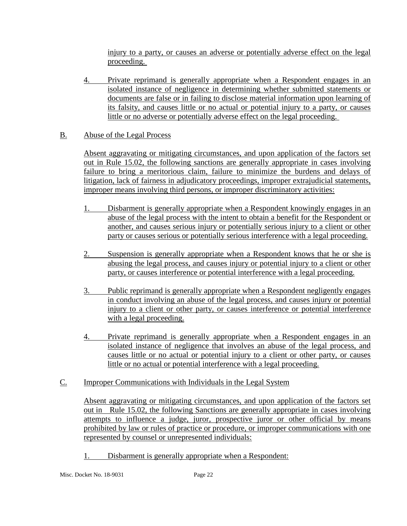injury to a party, or causes an adverse or potentially adverse effect on the legal proceeding.

4. Private reprimand is generally appropriate when a Respondent engages in an isolated instance of negligence in determining whether submitted statements or documents are false or in failing to disclose material information upon learning of its falsity, and causes little or no actual or potential injury to a party, or causes little or no adverse or potentially adverse effect on the legal proceeding.

# B. Abuse of the Legal Process

Absent aggravating or mitigating circumstances, and upon application of the factors set out in Rule 15.02, the following sanctions are generally appropriate in cases involving failure to bring a meritorious claim, failure to minimize the burdens and delays of litigation, lack of fairness in adjudicatory proceedings, improper extrajudicial statements, improper means involving third persons, or improper discriminatory activities:

- 1. Disbarment is generally appropriate when a Respondent knowingly engages in an abuse of the legal process with the intent to obtain a benefit for the Respondent or another, and causes serious injury or potentially serious injury to a client or other party or causes serious or potentially serious interference with a legal proceeding.
- 2. Suspension is generally appropriate when a Respondent knows that he or she is abusing the legal process, and causes injury or potential injury to a client or other party, or causes interference or potential interference with a legal proceeding.
- 3. Public reprimand is generally appropriate when a Respondent negligently engages in conduct involving an abuse of the legal process, and causes injury or potential injury to a client or other party, or causes interference or potential interference with a legal proceeding.
- 4. Private reprimand is generally appropriate when a Respondent engages in an isolated instance of negligence that involves an abuse of the legal process, and causes little or no actual or potential injury to a client or other party, or causes little or no actual or potential interference with a legal proceeding.
- C. Improper Communications with Individuals in the Legal System

Absent aggravating or mitigating circumstances, and upon application of the factors set out in Rule 15.02, the following Sanctions are generally appropriate in cases involving attempts to influence a judge, juror, prospective juror or other official by means prohibited by law or rules of practice or procedure, or improper communications with one represented by counsel or unrepresented individuals:

1. Disbarment is generally appropriate when a Respondent: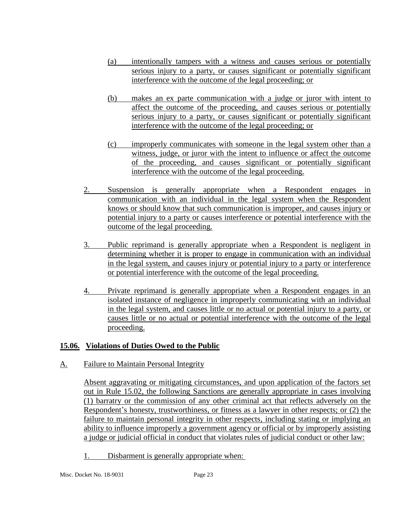- (a) intentionally tampers with a witness and causes serious or potentially serious injury to a party, or causes significant or potentially significant interference with the outcome of the legal proceeding; or
- (b) makes an ex parte communication with a judge or juror with intent to affect the outcome of the proceeding, and causes serious or potentially serious injury to a party, or causes significant or potentially significant interference with the outcome of the legal proceeding; or
- (c) improperly communicates with someone in the legal system other than a witness, judge, or juror with the intent to influence or affect the outcome of the proceeding, and causes significant or potentially significant interference with the outcome of the legal proceeding.
- 2. Suspension is generally appropriate when a Respondent engages in communication with an individual in the legal system when the Respondent knows or should know that such communication is improper, and causes injury or potential injury to a party or causes interference or potential interference with the outcome of the legal proceeding.
- 3. Public reprimand is generally appropriate when a Respondent is negligent in determining whether it is proper to engage in communication with an individual in the legal system, and causes injury or potential injury to a party or interference or potential interference with the outcome of the legal proceeding.
- 4. Private reprimand is generally appropriate when a Respondent engages in an isolated instance of negligence in improperly communicating with an individual in the legal system, and causes little or no actual or potential injury to a party, or causes little or no actual or potential interference with the outcome of the legal proceeding.

## **15.06. Violations of Duties Owed to the Public**

A. Failure to Maintain Personal Integrity

Absent aggravating or mitigating circumstances, and upon application of the factors set out in Rule 15.02, the following Sanctions are generally appropriate in cases involving (1) barratry or the commission of any other criminal act that reflects adversely on the Respondent's honesty, trustworthiness, or fitness as a lawyer in other respects; or (2) the failure to maintain personal integrity in other respects, including stating or implying an ability to influence improperly a government agency or official or by improperly assisting a judge or judicial official in conduct that violates rules of judicial conduct or other law:

1. Disbarment is generally appropriate when: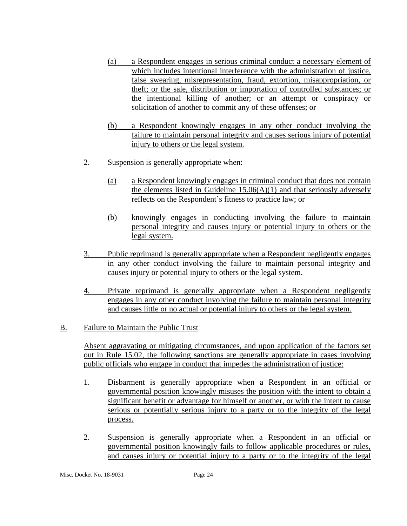- (a) a Respondent engages in serious criminal conduct a necessary element of which includes intentional interference with the administration of justice, false swearing, misrepresentation, fraud, extortion, misappropriation, or theft; or the sale, distribution or importation of controlled substances; or the intentional killing of another; or an attempt or conspiracy or solicitation of another to commit any of these offenses; or
- (b) a Respondent knowingly engages in any other conduct involving the failure to maintain personal integrity and causes serious injury of potential injury to others or the legal system.
- 2. Suspension is generally appropriate when:
	- (a) a Respondent knowingly engages in criminal conduct that does not contain the elements listed in Guideline  $15.06(A)(1)$  and that seriously adversely reflects on the Respondent's fitness to practice law; or
	- (b) knowingly engages in conducting involving the failure to maintain personal integrity and causes injury or potential injury to others or the legal system.
- 3. Public reprimand is generally appropriate when a Respondent negligently engages in any other conduct involving the failure to maintain personal integrity and causes injury or potential injury to others or the legal system.
- 4. Private reprimand is generally appropriate when a Respondent negligently engages in any other conduct involving the failure to maintain personal integrity and causes little or no actual or potential injury to others or the legal system.

## B. Failure to Maintain the Public Trust

Absent aggravating or mitigating circumstances, and upon application of the factors set out in Rule 15.02, the following sanctions are generally appropriate in cases involving public officials who engage in conduct that impedes the administration of justice:

- 1. Disbarment is generally appropriate when a Respondent in an official or governmental position knowingly misuses the position with the intent to obtain a significant benefit or advantage for himself or another, or with the intent to cause serious or potentially serious injury to a party or to the integrity of the legal process.
- 2. Suspension is generally appropriate when a Respondent in an official or governmental position knowingly fails to follow applicable procedures or rules, and causes injury or potential injury to a party or to the integrity of the legal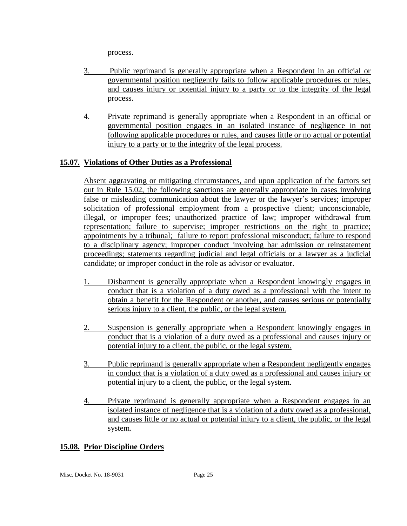process.

- 3. Public reprimand is generally appropriate when a Respondent in an official or governmental position negligently fails to follow applicable procedures or rules, and causes injury or potential injury to a party or to the integrity of the legal process.
- 4. Private reprimand is generally appropriate when a Respondent in an official or governmental position engages in an isolated instance of negligence in not following applicable procedures or rules, and causes little or no actual or potential injury to a party or to the integrity of the legal process.

# **15.07. Violations of Other Duties as a Professional**

Absent aggravating or mitigating circumstances, and upon application of the factors set out in Rule 15.02, the following sanctions are generally appropriate in cases involving false or misleading communication about the lawyer or the lawyer's services; improper solicitation of professional employment from a prospective client; unconscionable, illegal, or improper fees; unauthorized practice of law; improper withdrawal from representation; failure to supervise; improper restrictions on the right to practice; appointments by a tribunal; failure to report professional misconduct; failure to respond to a disciplinary agency; improper conduct involving bar admission or reinstatement proceedings; statements regarding judicial and legal officials or a lawyer as a judicial candidate; or improper conduct in the role as advisor or evaluator.

- 1. Disbarment is generally appropriate when a Respondent knowingly engages in conduct that is a violation of a duty owed as a professional with the intent to obtain a benefit for the Respondent or another, and causes serious or potentially serious injury to a client, the public, or the legal system.
- 2. Suspension is generally appropriate when a Respondent knowingly engages in conduct that is a violation of a duty owed as a professional and causes injury or potential injury to a client, the public, or the legal system.
- 3. Public reprimand is generally appropriate when a Respondent negligently engages in conduct that is a violation of a duty owed as a professional and causes injury or potential injury to a client, the public, or the legal system.
- 4. Private reprimand is generally appropriate when a Respondent engages in an isolated instance of negligence that is a violation of a duty owed as a professional, and causes little or no actual or potential injury to a client, the public, or the legal system.

## **15.08. Prior Discipline Orders**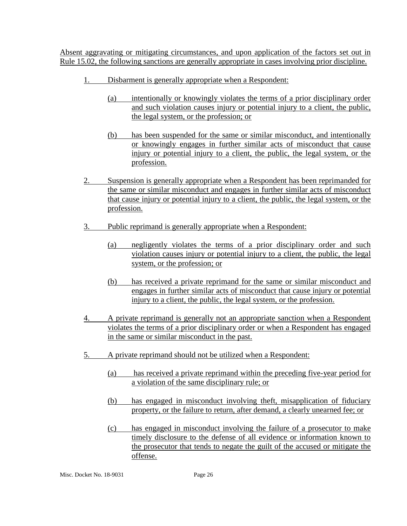Absent aggravating or mitigating circumstances, and upon application of the factors set out in Rule 15.02, the following sanctions are generally appropriate in cases involving prior discipline.

- 1. Disbarment is generally appropriate when a Respondent:
	- (a) intentionally or knowingly violates the terms of a prior disciplinary order and such violation causes injury or potential injury to a client, the public, the legal system, or the profession; or
	- (b) has been suspended for the same or similar misconduct, and intentionally or knowingly engages in further similar acts of misconduct that cause injury or potential injury to a client, the public, the legal system, or the profession.
- 2. Suspension is generally appropriate when a Respondent has been reprimanded for the same or similar misconduct and engages in further similar acts of misconduct that cause injury or potential injury to a client, the public, the legal system, or the profession.
- 3. Public reprimand is generally appropriate when a Respondent:
	- (a) negligently violates the terms of a prior disciplinary order and such violation causes injury or potential injury to a client, the public, the legal system, or the profession; or
	- (b) has received a private reprimand for the same or similar misconduct and engages in further similar acts of misconduct that cause injury or potential injury to a client, the public, the legal system, or the profession.
- 4. A private reprimand is generally not an appropriate sanction when a Respondent violates the terms of a prior disciplinary order or when a Respondent has engaged in the same or similar misconduct in the past.
- 5. A private reprimand should not be utilized when a Respondent:
	- (a) has received a private reprimand within the preceding five-year period for a violation of the same disciplinary rule; or
	- (b) has engaged in misconduct involving theft, misapplication of fiduciary property, or the failure to return, after demand, a clearly unearned fee; or
	- (c) has engaged in misconduct involving the failure of a prosecutor to make timely disclosure to the defense of all evidence or information known to the prosecutor that tends to negate the guilt of the accused or mitigate the offense.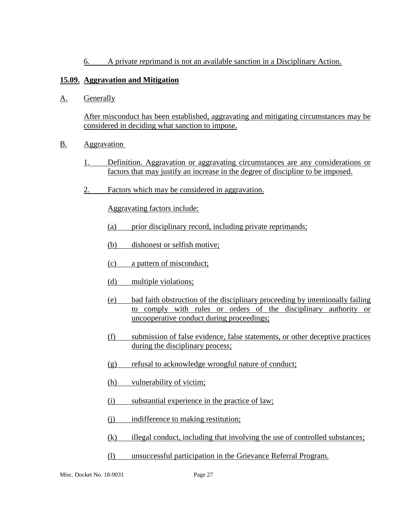6. A private reprimand is not an available sanction in a Disciplinary Action.

# **15.09. Aggravation and Mitigation**

A. Generally

After misconduct has been established, aggravating and mitigating circumstances may be considered in deciding what sanction to impose.

- B. Aggravation
	- 1. Definition. Aggravation or aggravating circumstances are any considerations or factors that may justify an increase in the degree of discipline to be imposed.
	- 2. Factors which may be considered in aggravation.

Aggravating factors include:

- (a) prior disciplinary record, including private reprimands;
- (b) dishonest or selfish motive;
- (c) a pattern of misconduct;
- (d) multiple violations;
- (e) bad faith obstruction of the disciplinary proceeding by intentionally failing to comply with rules or orders of the disciplinary authority or uncooperative conduct during proceedings;
- (f) submission of false evidence, false statements, or other deceptive practices during the disciplinary process;
- (g) refusal to acknowledge wrongful nature of conduct;
- (h) vulnerability of victim;
- (i) substantial experience in the practice of law;
- (i) indifference to making restitution;
- (k) illegal conduct, including that involving the use of controlled substances;
- (l) unsuccessful participation in the Grievance Referral Program.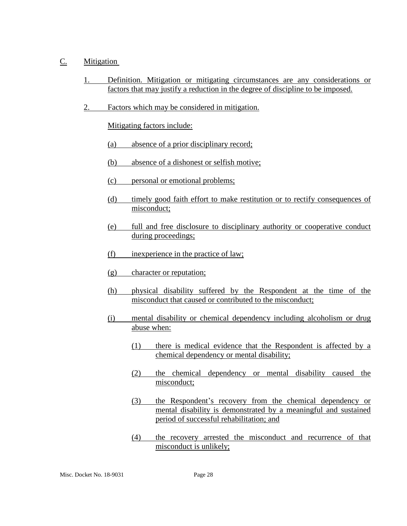## C. Mitigation

- 1. Definition. Mitigation or mitigating circumstances are any considerations or factors that may justify a reduction in the degree of discipline to be imposed.
- 2. Factors which may be considered in mitigation.

Mitigating factors include:

- (a) absence of a prior disciplinary record;
- (b) absence of a dishonest or selfish motive;
- (c) personal or emotional problems;
- (d) timely good faith effort to make restitution or to rectify consequences of misconduct;
- (e) full and free disclosure to disciplinary authority or cooperative conduct during proceedings;
- (f) inexperience in the practice of law;
- (g) character or reputation;
- (h) physical disability suffered by the Respondent at the time of the misconduct that caused or contributed to the misconduct;
- (i) mental disability or chemical dependency including alcoholism or drug abuse when:
	- (1) there is medical evidence that the Respondent is affected by a chemical dependency or mental disability;
	- (2) the chemical dependency or mental disability caused the misconduct;
	- (3) the Respondent's recovery from the chemical dependency or mental disability is demonstrated by a meaningful and sustained period of successful rehabilitation; and
	- (4) the recovery arrested the misconduct and recurrence of that misconduct is unlikely;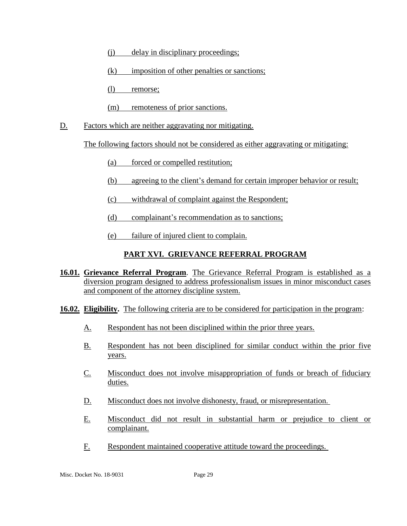- (j) delay in disciplinary proceedings;
- (k) imposition of other penalties or sanctions;
- (l) remorse;
- (m) remoteness of prior sanctions.
- D. Factors which are neither aggravating nor mitigating.

The following factors should not be considered as either aggravating or mitigating:

- (a) forced or compelled restitution;
- (b) agreeing to the client's demand for certain improper behavior or result;
- (c) withdrawal of complaint against the Respondent;
- (d) complainant's recommendation as to sanctions;
- (e) failure of injured client to complain.

# **PART XVI. GRIEVANCE REFERRAL PROGRAM**

- **16.01. Grievance Referral Program**. The Grievance Referral Program is established as a diversion program designed to address professionalism issues in minor misconduct cases and component of the attorney discipline system.
- **16.02. Eligibility.** The following criteria are to be considered for participation in the program:
	- A. Respondent has not been disciplined within the prior three years.
	- B. Respondent has not been disciplined for similar conduct within the prior five years.
	- C. Misconduct does not involve misappropriation of funds or breach of fiduciary duties.
	- D. Misconduct does not involve dishonesty, fraud, or misrepresentation.
	- E. Misconduct did not result in substantial harm or prejudice to client or complainant.
	- F. Respondent maintained cooperative attitude toward the proceedings.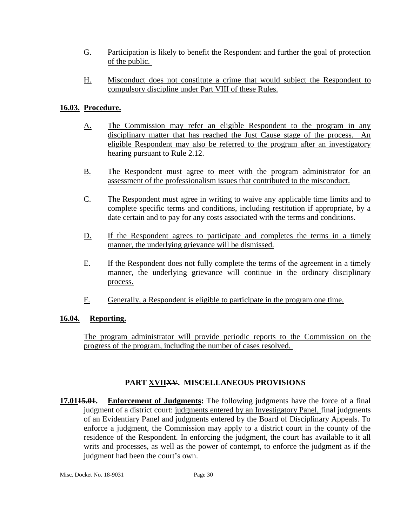- G. Participation is likely to benefit the Respondent and further the goal of protection of the public.
- H. Misconduct does not constitute a crime that would subject the Respondent to compulsory discipline under Part VIII of these Rules.

# **16.03. Procedure.**

- A. The Commission may refer an eligible Respondent to the program in any disciplinary matter that has reached the Just Cause stage of the process. eligible Respondent may also be referred to the program after an investigatory hearing pursuant to Rule 2.12.
- B. The Respondent must agree to meet with the program administrator for an assessment of the professionalism issues that contributed to the misconduct.
- C. The Respondent must agree in writing to waive any applicable time limits and to complete specific terms and conditions, including restitution if appropriate, by a date certain and to pay for any costs associated with the terms and conditions.
- D. If the Respondent agrees to participate and completes the terms in a timely manner, the underlying grievance will be dismissed.
- E. If the Respondent does not fully complete the terms of the agreement in a timely manner, the underlying grievance will continue in the ordinary disciplinary process.
- F. Generally, a Respondent is eligible to participate in the program one time.

# **16.04. Reporting.**

The program administrator will provide periodic reports to the Commission on the progress of the program, including the number of cases resolved.

# **PART XVIIXV. MISCELLANEOUS PROVISIONS**

**17.0115.01. Enforcement of Judgments:** The following judgments have the force of a final judgment of a district court: judgments entered by an Investigatory Panel, final judgments of an Evidentiary Panel and judgments entered by the Board of Disciplinary Appeals. To enforce a judgment, the Commission may apply to a district court in the county of the residence of the Respondent. In enforcing the judgment, the court has available to it all writs and processes, as well as the power of contempt, to enforce the judgment as if the judgment had been the court's own.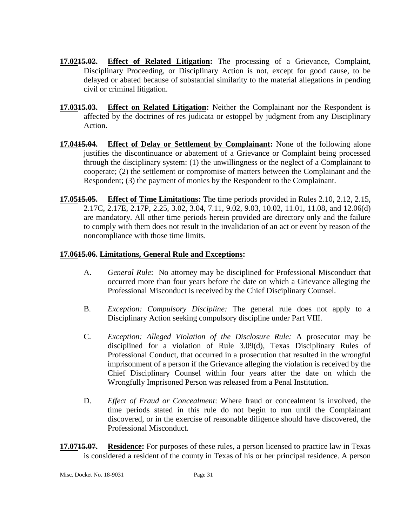- **17.0215.02. Effect of Related Litigation:** The processing of a Grievance, Complaint, Disciplinary Proceeding, or Disciplinary Action is not, except for good cause, to be delayed or abated because of substantial similarity to the material allegations in pending civil or criminal litigation.
- **17.0315.03. Effect on Related Litigation:** Neither the Complainant nor the Respondent is affected by the doctrines of res judicata or estoppel by judgment from any Disciplinary Action.
- **17.0415.04. Effect of Delay or Settlement by Complainant:** None of the following alone justifies the discontinuance or abatement of a Grievance or Complaint being processed through the disciplinary system: (1) the unwillingness or the neglect of a Complainant to cooperate; (2) the settlement or compromise of matters between the Complainant and the Respondent; (3) the payment of monies by the Respondent to the Complainant.
- **17.0515.05. Effect of Time Limitations:** The time periods provided in Rules 2.10, 2.12, 2.15, 2.17C, 2.17E, 2.17P, 2.25, 3.02, 3.04, 7.11, 9.02, 9.03, 10.02, 11.01, 11.08, and 12.06(d) are mandatory. All other time periods herein provided are directory only and the failure to comply with them does not result in the invalidation of an act or event by reason of the noncompliance with those time limits.

#### **17.0615.06. Limitations, General Rule and Exceptions:**

- A. *General Rule*: No attorney may be disciplined for Professional Misconduct that occurred more than four years before the date on which a Grievance alleging the Professional Misconduct is received by the Chief Disciplinary Counsel.
- B. *Exception: Compulsory Discipline:* The general rule does not apply to a Disciplinary Action seeking compulsory discipline under Part VIII.
- C. *Exception: Alleged Violation of the Disclosure Rule:* A prosecutor may be disciplined for a violation of Rule 3.09(d), Texas Disciplinary Rules of Professional Conduct, that occurred in a prosecution that resulted in the wrongful imprisonment of a person if the Grievance alleging the violation is received by the Chief Disciplinary Counsel within four years after the date on which the Wrongfully Imprisoned Person was released from a Penal Institution.
- D. *Effect of Fraud or Concealment*: Where fraud or concealment is involved, the time periods stated in this rule do not begin to run until the Complainant discovered, or in the exercise of reasonable diligence should have discovered, the Professional Misconduct.
- **17.0715.07. Residence:** For purposes of these rules, a person licensed to practice law in Texas is considered a resident of the county in Texas of his or her principal residence. A person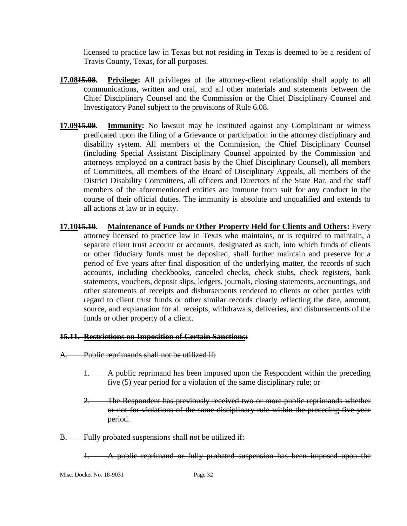licensed to practice law in Texas but not residing in Texas is deemed to be a resident of Travis County, Texas, for all purposes.

- **17.0815.08. Privilege:** All privileges of the attorney-client relationship shall apply to all communications, written and oral, and all other materials and statements between the Chief Disciplinary Counsel and the Commission or the Chief Disciplinary Counsel and Investigatory Panel subject to the provisions of Rule 6.08.
- **17.0915.09. Immunity:** No lawsuit may be instituted against any Complainant or witness predicated upon the filing of a Grievance or participation in the attorney disciplinary and disability system. All members of the Commission, the Chief Disciplinary Counsel (including Special Assistant Disciplinary Counsel appointed by the Commission and attorneys employed on a contract basis by the Chief Disciplinary Counsel), all members of Committees, all members of the Board of Disciplinary Appeals, all members of the District Disability Committees, all officers and Directors of the State Bar, and the staff members of the aforementioned entities are immune from suit for any conduct in the course of their official duties. The immunity is absolute and unqualified and extends to all actions at law or in equity.
- **17.1015.10. Maintenance of Funds or Other Property Held for Clients and Others:** Every attorney licensed to practice law in Texas who maintains, or is required to maintain, a separate client trust account or accounts, designated as such, into which funds of clients or other fiduciary funds must be deposited, shall further maintain and preserve for a period of five years after final disposition of the underlying matter, the records of such accounts, including checkbooks, canceled checks, check stubs, check registers, bank statements, vouchers, deposit slips, ledgers, journals, closing statements, accountings, and other statements of receipts and disbursements rendered to clients or other parties with regard to client trust funds or other similar records clearly reflecting the date, amount, source, and explanation for all receipts, withdrawals, deliveries, and disbursements of the funds or other property of a client.

#### **15.11. Restrictions on Imposition of Certain Sanctions:**

- A. Public reprimands shall not be utilized if:
	- 1. A public reprimand has been imposed upon the Respondent within the preceding five (5) year period for a violation of the same disciplinary rule; or
	- 2. The Respondent has previously received two or more public reprimands whether or not for violations of the same disciplinary rule within the preceding five year period.
- B. Fully probated suspensions shall not be utilized if:

1. A public reprimand or fully probated suspension has been imposed upon the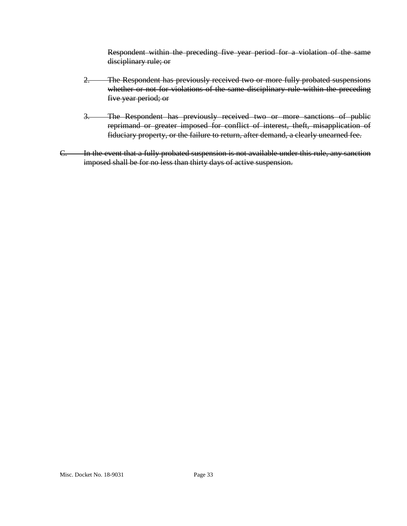Respondent within the preceding five year period for a violation of the same disciplinary rule; or

- 2. The Respondent has previously received two or more fully probated suspensions whether or not for violations of the same disciplinary rule within the preceding five year period; or
- 3. The Respondent has previously received two or more sanctions of public reprimand or greater imposed for conflict of interest, theft, misapplication of fiduciary property, or the failure to return, after demand, a clearly unearned fee.
- C. In the event that a fully probated suspension is not available under this rule, any sanction imposed shall be for no less than thirty days of active suspension.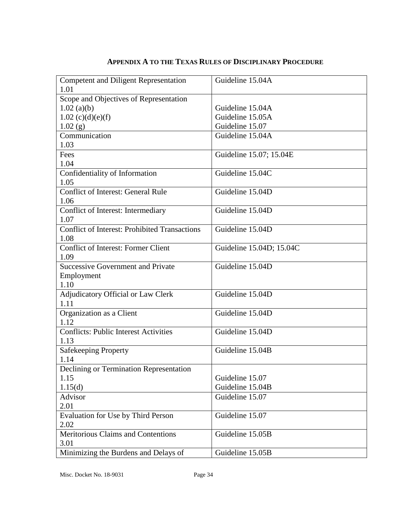| <b>Competent and Diligent Representation</b><br>1.01 | Guideline 15.04A         |
|------------------------------------------------------|--------------------------|
| Scope and Objectives of Representation               |                          |
|                                                      |                          |
| $1.02$ (a)(b)                                        | Guideline 15.04A         |
| $1.02$ (c)(d)(e)(f)                                  | Guideline 15.05A         |
| 1.02(g)                                              | Guideline 15.07          |
| Communication                                        | Guideline 15.04A         |
| 1.03                                                 |                          |
| Fees                                                 | Guideline 15.07; 15.04E  |
| 1.04                                                 |                          |
| Confidentiality of Information                       | Guideline 15.04C         |
| 1.05                                                 |                          |
| <b>Conflict of Interest: General Rule</b>            | Guideline 15.04D         |
| 1.06                                                 |                          |
| Conflict of Interest: Intermediary                   | Guideline 15.04D         |
| 1.07                                                 |                          |
| <b>Conflict of Interest: Prohibited Transactions</b> | Guideline 15.04D         |
| 1.08                                                 |                          |
| <b>Conflict of Interest: Former Client</b>           | Guideline 15.04D; 15.04C |
| 1.09                                                 |                          |
| <b>Successive Government and Private</b>             | Guideline 15.04D         |
| Employment                                           |                          |
| 1.10                                                 |                          |
| Adjudicatory Official or Law Clerk                   | Guideline 15.04D         |
| 1.11                                                 |                          |
| Organization as a Client                             | Guideline 15.04D         |
| 1.12                                                 |                          |
| <b>Conflicts: Public Interest Activities</b>         | Guideline 15.04D         |
| 1.13                                                 |                          |
| Safekeeping Property                                 | Guideline 15.04B         |
| 1.14                                                 |                          |
| Declining or Termination Representation              |                          |
| 1.15                                                 | Guideline 15.07          |
| 1.15(d)                                              | Guideline 15.04B         |
| Advisor                                              | Guideline 15.07          |
| 2.01                                                 |                          |
| Evaluation for Use by Third Person                   | Guideline 15.07          |
| 2.02                                                 |                          |
| Meritorious Claims and Contentions                   | Guideline 15.05B         |
| 3.01                                                 |                          |
| Minimizing the Burdens and Delays of                 | Guideline 15.05B         |
|                                                      |                          |

# **APPENDIX A TO THE TEXAS RULES OF DISCIPLINARY PROCEDURE**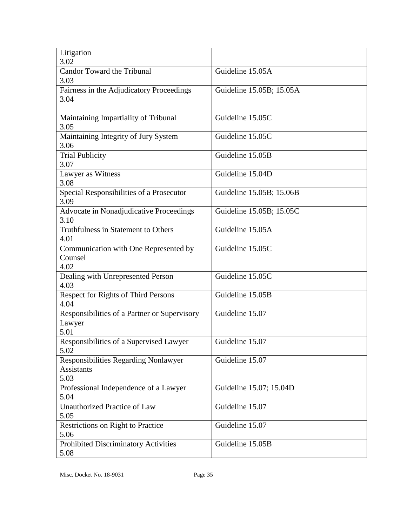| Litigation<br>3.02                           |                          |
|----------------------------------------------|--------------------------|
| <b>Candor Toward the Tribunal</b>            | Guideline 15.05A         |
| 3.03                                         |                          |
| Fairness in the Adjudicatory Proceedings     | Guideline 15.05B; 15.05A |
| 3.04                                         |                          |
|                                              |                          |
| Maintaining Impartiality of Tribunal         | Guideline 15.05C         |
| 3.05                                         |                          |
| Maintaining Integrity of Jury System         | Guideline 15.05C         |
| 3.06                                         |                          |
| <b>Trial Publicity</b>                       | Guideline 15.05B         |
| 3.07                                         |                          |
| Lawyer as Witness                            | Guideline 15.04D         |
| 3.08                                         |                          |
| Special Responsibilities of a Prosecutor     | Guideline 15.05B; 15.06B |
| 3.09                                         |                          |
| Advocate in Nonadjudicative Proceedings      | Guideline 15.05B; 15.05C |
| 3.10                                         |                          |
| <b>Truthfulness in Statement to Others</b>   | Guideline 15.05A         |
| 4.01                                         |                          |
| Communication with One Represented by        | Guideline 15.05C         |
| Counsel                                      |                          |
| 4.02                                         |                          |
| Dealing with Unrepresented Person            | Guideline 15.05C         |
| 4.03                                         |                          |
| Respect for Rights of Third Persons          | Guideline 15.05B         |
| 4.04                                         |                          |
| Responsibilities of a Partner or Supervisory | Guideline 15.07          |
| Lawyer                                       |                          |
| 5.01                                         |                          |
| Responsibilities of a Supervised Lawyer      | Guideline 15.07          |
| 5.02                                         |                          |
| Responsibilities Regarding Nonlawyer         | Guideline 15.07          |
| <b>Assistants</b>                            |                          |
| 5.03                                         |                          |
| Professional Independence of a Lawyer        | Guideline 15.07; 15.04D  |
| 5.04                                         | Guideline 15.07          |
| Unauthorized Practice of Law<br>5.05         |                          |
|                                              | Guideline 15.07          |
| Restrictions on Right to Practice<br>5.06    |                          |
| Prohibited Discriminatory Activities         | Guideline 15.05B         |
| 5.08                                         |                          |
|                                              |                          |